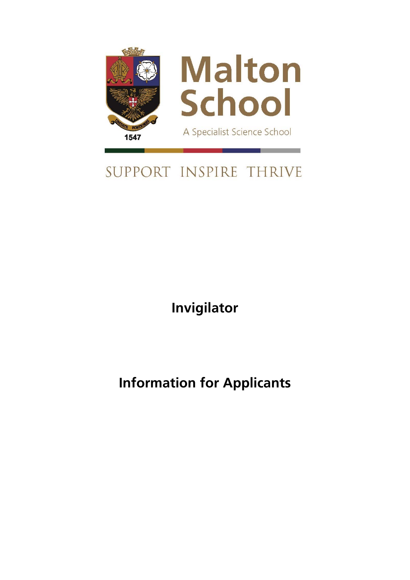

# SUPPORT INSPIRE THRIVE

**Invigilator** 

**Information for Applicants**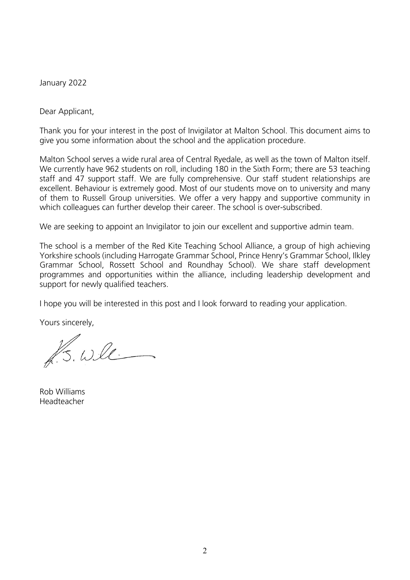January 2022

Dear Applicant,

Thank you for your interest in the post of Invigilator at Malton School. This document aims to give you some information about the school and the application procedure.

Malton School serves a wide rural area of Central Ryedale, as well as the town of Malton itself. We currently have 962 students on roll, including 180 in the Sixth Form; there are 53 teaching staff and 47 support staff. We are fully comprehensive. Our staff student relationships are excellent. Behaviour is extremely good. Most of our students move on to university and many of them to Russell Group universities. We offer a very happy and supportive community in which colleagues can further develop their career. The school is over-subscribed.

We are seeking to appoint an Invigilator to join our excellent and supportive admin team.

The school is a member of the Red Kite Teaching School Alliance, a group of high achieving Yorkshire schools (including Harrogate Grammar School, Prince Henry's Grammar School, Ilkley Grammar School, Rossett School and Roundhay School). We share staff development programmes and opportunities within the alliance, including leadership development and support for newly qualified teachers.

I hope you will be interested in this post and I look forward to reading your application.

Yours sincerely,

PS. Will

Rob Williams Headteacher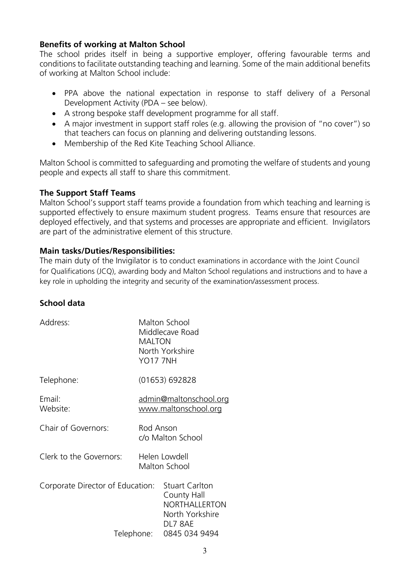## **Benefits of working at Malton School**

The school prides itself in being a supportive employer, offering favourable terms and conditions to facilitate outstanding teaching and learning. Some of the main additional benefits of working at Malton School include:

- PPA above the national expectation in response to staff delivery of a Personal Development Activity (PDA – see below).
- A strong bespoke staff development programme for all staff.
- A major investment in support staff roles (e.g. allowing the provision of "no cover") so that teachers can focus on planning and delivering outstanding lessons.
- Membership of the Red Kite Teaching School Alliance.

Malton School is committed to safeguarding and promoting the welfare of students and young people and expects all staff to share this commitment.

#### **The Support Staff Teams**

Malton School's support staff teams provide a foundation from which teaching and learning is supported effectively to ensure maximum student progress. Teams ensure that resources are deployed effectively, and that systems and processes are appropriate and efficient. Invigilators are part of the administrative element of this structure.

### **Main tasks/Duties/Responsibilities:**

The main duty of the Invigilator is to conduct examinations in accordance with the Joint Council for Qualifications (JCQ), awarding body and Malton School regulations and instructions and to have a key role in upholding the integrity and security of the examination/assessment process.

# **School data**

| Address:                                       | Malton School<br>Middlecave Road<br><b>MALTON</b><br>North Yorkshire<br><b>YO17 7NH</b>              |
|------------------------------------------------|------------------------------------------------------------------------------------------------------|
| Telephone:                                     | (01653) 692828                                                                                       |
| Email:<br>Website:                             | <u>admin@maltonschool.org</u><br>www.maltonschool.org                                                |
| Chair of Governors:                            | Rod Anson<br>c/o Malton School                                                                       |
| Clerk to the Governors:                        | Helen Lowdell<br>Malton School                                                                       |
| Corporate Director of Education:<br>Telephone: | <b>Stuart Carlton</b><br>County Hall<br>NORTHALLERTON<br>North Yorkshire<br>DL7 8AE<br>0845 034 9494 |